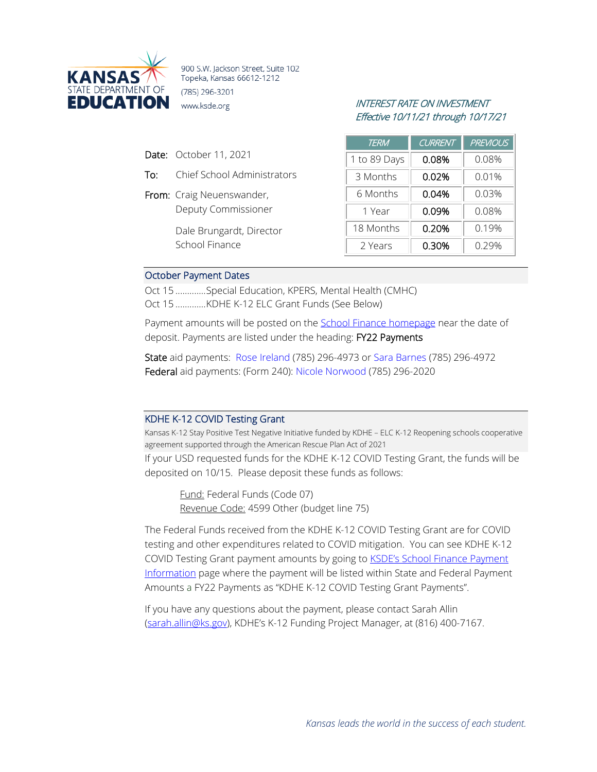

900 S.W. Jackson Street, Suite 102 Topeka, Kansas 66612-1212 (785) 296-3201 **EDUCATION** www.ksde.org INTEREST RATE ON INVESTMENT

# Effective 10/11/21 through 10/17/21

| Date: October 11, 2021 |  |
|------------------------|--|
|                        |  |

- To: Chief School Administrators
- From: Craig Neuenswander, Deputy Commissioner

Dale Brungardt, Director School Finance

| <b>TERM</b>  | <b>CURRENT</b> | <b>PREVIOUS</b> |
|--------------|----------------|-----------------|
| 1 to 89 Days | 0.08%          | 0.08%           |
| 3 Months     | 0.02%          | 0.01%           |
| 6 Months     | 0.04%          | 0.03%           |
| 1 Year       | 0.09%          | 0.08%           |
| 18 Months    | 0.20%          | 0.19%           |
| 2 Years      | 0.30%          | 0.29%           |

#### October Payment Dates

Oct 15 .............Special Education, KPERS, Mental Health (CMHC) Oct 15 .............KDHE K-12 ELC Grant Funds (See Below)

Payment amounts will be posted on the [School Finance homepage](http://www.ksde.org/Agency/Fiscal-and-Administrative-Services/School-Finance/Payment-Information) near the date of deposit. Payments are listed under the heading: FY22 Payments

State aid payments: [Rose Ireland](mailto:rireland@ksde.org) (785) 296-4973 or [Sara Barnes](mailto:sbarnes@ksde.org) (785) 296-4972 Federal aid payments: (Form 240): [Nicole Norwood](mailto:nnorwood@ksde.org) (785) 296-2020

#### KDHE K-12 COVID Testing Grant

Kansas K-12 Stay Positive Test Negative Initiative funded by KDHE – ELC K-12 Reopening schools cooperative agreement supported through the American Rescue Plan Act of 2021 If your USD requested funds for the KDHE K-12 COVID Testing Grant, the funds will be

deposited on 10/15. Please deposit these funds as follows:

Fund: Federal Funds (Code 07) Revenue Code: 4599 Other (budget line 75)

The Federal Funds received from the KDHE K-12 COVID Testing Grant are for COVID testing and other expenditures related to COVID mitigation. You can see KDHE K-12 COVID Testing Grant payment amounts by going to **KSDE's School Finance Payment** [Information](https://www.ksde.org/Agency/Fiscal-and-Administrative-Services/School-Finance/Payment-Information) page where the payment will be listed within State and Federal Payment Amounts a FY22 Payments as "KDHE K-12 COVID Testing Grant Payments".

If you have any questions about the payment, please contact Sarah Allin [\(sarah.allin@ks.gov\)](mailto:sarah.allin@ks.gov), KDHE's K-12 Funding Project Manager, at (816) 400-7167.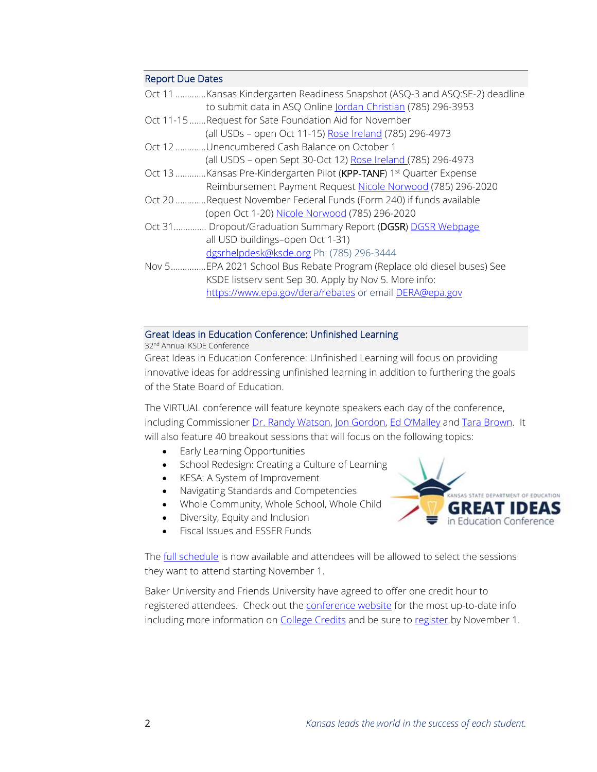#### Report Due Dates

|       | Oct 11 Kansas Kindergarten Readiness Snapshot (ASQ-3 and ASQ:SE-2) deadline     |
|-------|---------------------------------------------------------------------------------|
|       | to submit data in ASQ Online Jordan Christian (785) 296-3953                    |
|       | Oct 11-15 Request for Sate Foundation Aid for November                          |
|       | (all USDs - open Oct 11-15) Rose Ireland (785) 296-4973                         |
|       | Oct 12 Unencumbered Cash Balance on October 1                                   |
|       | (all USDS - open Sept 30-Oct 12) Rose Ireland (785) 296-4973                    |
|       | Oct 13 Kansas Pre-Kindergarten Pilot (KPP-TANF) 1 <sup>st</sup> Quarter Expense |
|       | Reimbursement Payment Request Nicole Norwood (785) 296-2020                     |
|       | Oct 20 Request November Federal Funds (Form 240) if funds available             |
|       | (open Oct 1-20) Nicole Norwood (785) 296-2020                                   |
|       | Oct 31 Dropout/Graduation Summary Report (DGSR) DGSR Webpage                    |
|       | all USD buildings-open Oct 1-31)                                                |
|       | dgsrhelpdesk@ksde.org Ph: (785) 296-3444                                        |
| Nov 5 | .EPA 2021 School Bus Rebate Program (Replace old diesel buses) See              |
|       | KSDE listserv sent Sep 30. Apply by Nov 5. More info:                           |
|       | https://www.epa.gov/dera/rebates or email DERA@epa.gov                          |
|       |                                                                                 |
|       |                                                                                 |

## Great Ideas in Education Conference: Unfinished Learning

32nd Annual KSDE Conference

Great Ideas in Education Conference: Unfinished Learning will focus on providing innovative ideas for addressing unfinished learning in addition to furthering the goals of the State Board of Education.

The VIRTUAL conference will feature keynote speakers each day of the conference, including Commissioner [Dr. Randy Watson,](https://www.ksde.org/Agency/Office-of-the-Commissioner) [Jon Gordon,](http://jongordon.com/about-jon/) [Ed O'Malley](https://kansasleadershipcenter.org/team/ed-omalley/) and [Tara Brown.](https://theconnectioncoach.org/experience) It will also feature 40 breakout sessions that will focus on the following topics:

- Early Learning Opportunities
- School Redesign: Creating a Culture of Learning
- KESA: A System of Improvement
- Navigating Standards and Competencies
- Whole Community, Whole School, Whole Child
- Diversity, Equity and Inclusion
- Fiscal Issues and ESSER Funds

The *full schedule* is now available and attendees will be allowed to select the sessions they want to attend starting November 1.

Baker University and Friends University have agreed to offer one credit hour to registered attendees. Check out the [conference website](https://events.ksde.org/Default.aspx?tabid=771) for the most up-to-date info including more information on [College Credits](https://events.ksde.org/Default.aspx?tabid=846) and be sure to [register](https://events.ksde.org/Default.aspx?tabid=771) by November 1.